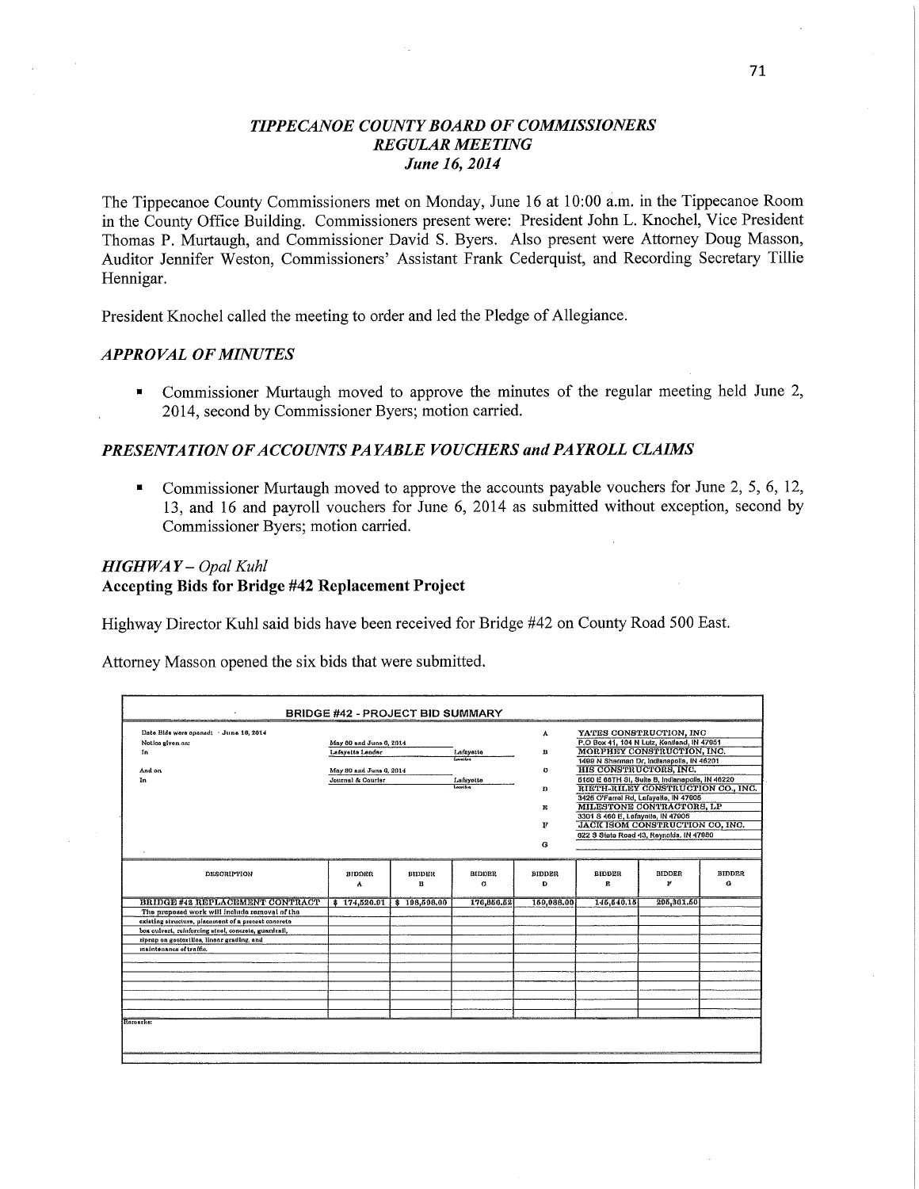# *TIPPE CANOE COUNTY BOARD* OF *COMMISSIONERS REGULAR MEETING June* 16, *2014*

The Tippecanoe County Commissioners met on Monday, June 16 at 10:00 a.m. in the Tippecanoe Room in the County Office Building. Commissioners present were: President John L. Knochel, Vice President Thomas P. Murtaugh, and Commissioner David S. Byers. Also present were Attorney Doug Masson, Auditor Jennifer Weston, Commissioners' Assistant Frank Cederquist, and Recording Secretary Tillie Hennigar.

President Knochel called the meeting to order and led the Pledge of Allegiance.

## *APPROVAL* OF *MINUTES*

**In Commissioner Murtaugh moved to approve the minutes of the regular meeting held June 2,** 2014, second by Commissioner Byers; motion carried.

#### *PRESENTATION* OF *ACCOUNTS PAYABLE VOUCHERS* and *PAYROLL CLAIMS*

**I** Commissioner Murtaugh moved to approve the accounts payable vouchers for June 2, 5, 6, 12, 13, and 16 and payroll vouchers for June 6, 2014 as submitted without exception, second by Commissioner Byers; motion carried.

# *HIGHWAY* **-** *Opal Kuhl*

#### **Accepting Bids** for **Bridge** #42 **Replacement Project**

Highway Director Kuhl said bids have been received for Bridge #42 on County Road 500 East.

Attorney Masson opened the six bids that were submitted.

| Date Blds were opened: June 16, 2014                 |                         |               |               | A             |                                            | YATES CONSTRUCTION, INC                         |               |
|------------------------------------------------------|-------------------------|---------------|---------------|---------------|--------------------------------------------|-------------------------------------------------|---------------|
| Notice given on:                                     | May 80 and June 6, 2014 |               |               |               | P.O Box 41, 104 N Luiz, Kentland, IN 47951 |                                                 |               |
| In                                                   | Lafayette Leader        |               | Lafayette     | в             | MORPHEY CONSTRUCTION, INC.                 |                                                 |               |
|                                                      |                         |               | Lovetha       |               |                                            | 1499 N Sherman Dr, Indianapolis, IN 46201       |               |
| And on                                               | May 30 and June 6, 2014 |               |               | o             | HIS CONSTRUCTORS, INC.                     |                                                 |               |
| In                                                   | Journal & Courier       |               | Lafavotto     |               |                                            | 5150 E 65TH SI, Suite B, Indianapolis, IN 46220 |               |
|                                                      |                         |               | legise        | Ð             |                                            | RIETH-RILEY CONSTRUCTION CO., INC.              |               |
|                                                      |                         |               |               |               | 3425 O'Farrel Rd, Lafayelle, IN 47905      |                                                 |               |
|                                                      |                         |               |               | к             |                                            | MILESTONE CONTRACTORS, LP                       |               |
|                                                      |                         |               |               |               | 3301 S 460 E, Lafayette, IN 47905          |                                                 |               |
|                                                      |                         |               |               | $\mathbf F$   |                                            | JACK ISOM CONSTRUCTION CO, INC.                 |               |
|                                                      |                         |               |               |               |                                            | 622 S State Road 43, Reynolds, IN 47980         |               |
|                                                      |                         |               |               | G             |                                            |                                                 |               |
|                                                      |                         |               |               |               |                                            |                                                 |               |
| <b>DESCRIPTION</b>                                   | <b>BIDDER</b>           | <b>BIDDER</b> | <b>BIDDER</b> | <b>BIDDER</b> | <b>BIDDER</b>                              | <b>BIDDER</b>                                   | <b>BIDDER</b> |
|                                                      | A                       | в             | o             | Đ             | E                                          | $\mathbf{F}$                                    | G             |
|                                                      |                         |               |               |               |                                            |                                                 |               |
| <b>BRIDGE #42 REPLACEMENT CONTRACT</b>               | \$174,620.01            | \$198,598,00  | 176,856.52    | 159,088.00    | 146,640.15                                 | 205,361,50                                      |               |
| The proposed work will include removal of the        |                         |               |               |               |                                            |                                                 |               |
| existing structure, placement of a precest concrete  |                         |               |               |               |                                            |                                                 |               |
| box culvert, reinforcing steel, concrete, guardrail, |                         |               |               |               |                                            |                                                 |               |
| riprap on geotextiles, linear grading, and           |                         |               |               |               |                                            |                                                 |               |
| maintenance of traffic.                              |                         |               |               |               |                                            |                                                 |               |
|                                                      |                         |               |               |               |                                            |                                                 |               |
|                                                      |                         |               |               |               |                                            |                                                 |               |
|                                                      |                         |               |               |               |                                            |                                                 |               |
|                                                      |                         |               |               |               |                                            |                                                 |               |
|                                                      |                         |               |               |               |                                            |                                                 |               |
|                                                      |                         |               |               |               |                                            |                                                 |               |
| Ramarke:                                             |                         |               |               |               |                                            |                                                 |               |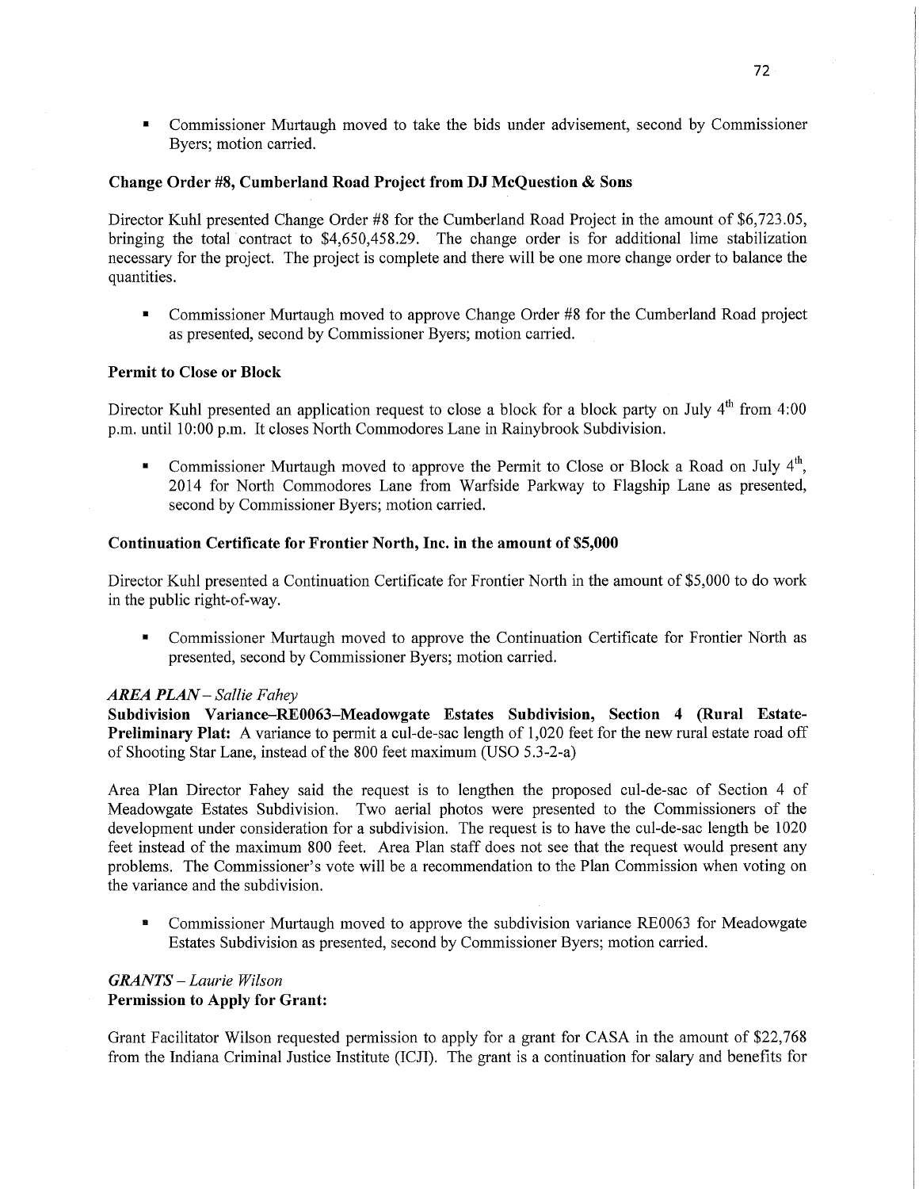**I** Commissioner Murtaugh moved to take the bids under advisement, second by Commissioner Byers; motion carried.

### **Change Order** #8, **Cumberland Road Project from** DJ **McQuestion &** Sons

Director Kuhl presented Change Order #8 for the Cumberland Road Project in the amount of \$6,723.05, bringing the total contract to \$4,650,458.29. The change order is for additional lime stabilization necessary for the project. The project is complete and there will be one more change order to balance the quantities.

. Commissioner Murtaugh moved to approve Change Order #8 for the Cumberland Road project as presented, second by Commissioner Byers; motion carried.

## **Permit** to Close or **Block**

Director Kuhl presented an application request to close a block for a block party on July  $4<sup>th</sup>$  from 4:00 pm. until 10:00 pm. It closes North Commodores Lane in Rainybrook Subdivision.

Commissioner Murtaugh moved to approve the Permit to Close or Block a Road on July 4<sup>th</sup>, 2014 for North Commodores Lane from Warfside Parkway to Flagship Lane as presented, second by Commissioner Byers; motion carried.

#### Continuation **Certificate** for **Frontier North, Inc.** in the **amount** of **\$5,000**

Director Kuhl presented a Continuation Certificate for Frontier North in the amount of \$5,000 to do work in the public right-of-way.

**I** Commissioner Murtaugh moved to approve the Continuation Certificate for Frontier North as presented, second by Commissioner Byers; motion carried.

#### *AREA PLAN* **—** *Sallie F ahey*

**Subdivision Variance—RE0063—Meadowgate Estates** Subdivision, Section **4 (Rural Estate-Preliminary Plat: A** variance to permit a cul-de-sac length of 1,020 feet for the new rural estate road off of Shooting Star Lane, instead of the 800 feet maximum (USO 5.3-2-a)

Area Plan Director Fahey said the request is to lengthen the proposed cul-de-sac of Section 4 of Meadowgate Estates Subdivision. Two aerial photos were presented to the Commissioners of the development under consideration for a subdivision. The request is to have the cul-de-sac length be 1020 feet instead of the maximum 800 feet. Area Plan staff does not see that the request would present any problems. The Commissioner's vote will be a recommendation to the Plan Commission when voting on the variance and the subdivision.

**In Commissioner Murtaugh moved to approve the subdivision variance RE0063 for Meadowgate** Estates Subdivision as presented, second by Commissioner Byers; motion carried.

### *GRANTS* — *Laurie Wilson*  **Permission** to **Apply** for **Grant:**

Grant Facilitator Wilson requested permission to apply for a grant for CASA in the amount of \$22,768 from the Indiana Criminal Justice Institute (ICJI). The grant is a continuation for salary and benefits for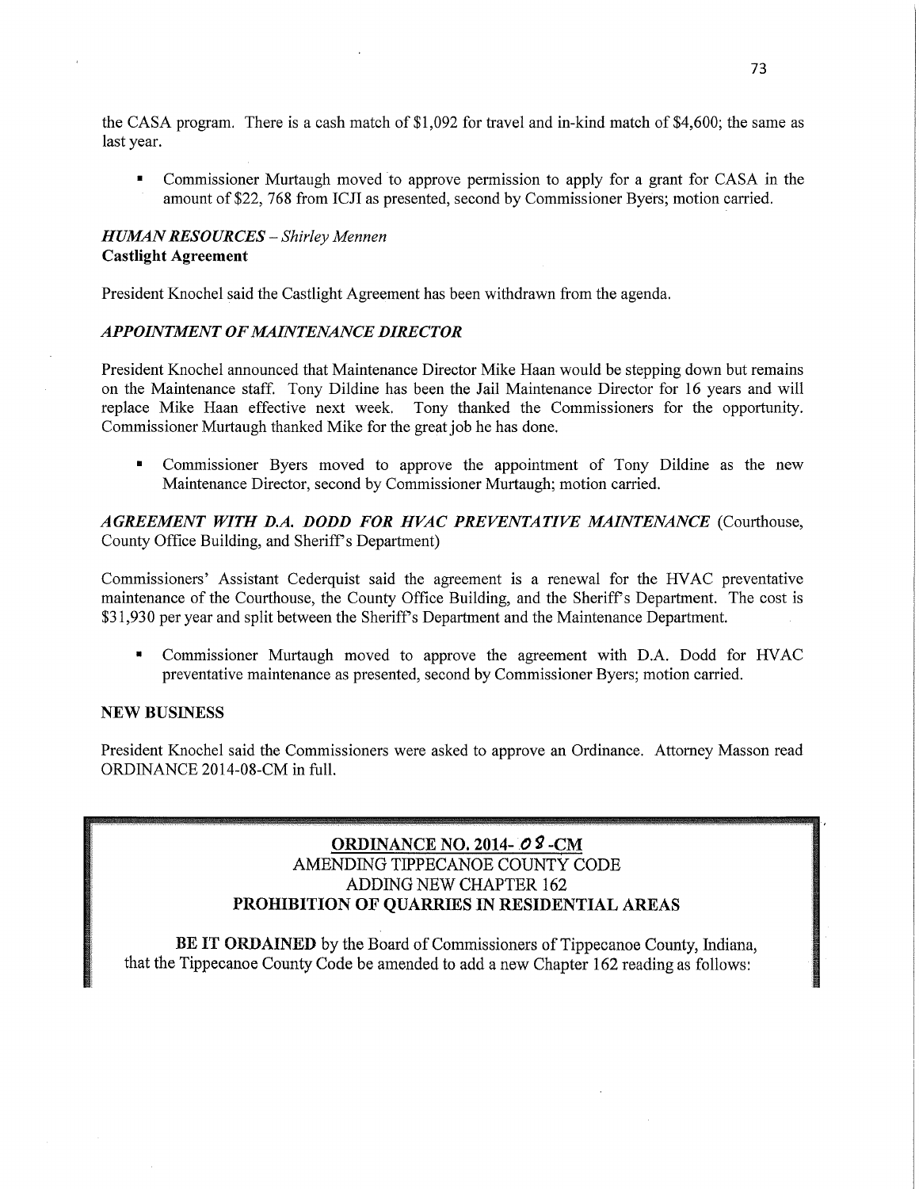the **CASA** program. There is a cash match of \$1,092 for travel and in—kind match of \$4,600; the same as last year.

**I** Commissioner Murtaugh moved 'to approve permission to apply for <sup>a</sup>grant for CASA in the amount of \$22, 768 from ICJI as presented, second by Commissioner Byers; motion carried.

# *HUMAN RESOURCES* **—** *Shirley Mennen*  **Castlight Agreement**

President Knochel said the Castlight Agreement has been withdrawn from the agenda.

## *APPOINTMENT* OF *MAINTENANCE DIRECTOR*

President Knochel announced that Maintenance Director Mike Haan would be stepping down but remains on the Maintenance staff. Tony Dildine has been the Jail Maintenance Director for 16 years and will replace Mike Haan effective next week. Tony thanked the Commissioners for the opportunity. Tony thanked the Commissioners for the opportunity. Commissioner Murtaugh thanked Mike for the great job he has done.

**I** Commissioner Byers moved to approve the appointment of Tony Dildine as the new Maintenance Director, second by Commissioner Murtaugh; motion carried.

*AGREEMENT WITH D.A. DODD* FOR *H* VAC *PREVENTATIVE MAINTENANCE* (Courthouse, County Office Building, and Sheriff's Department)

Commissioners' Assistant Cederquist said the agreement is a renewal for the HVAC preventative maintenance of the Courthouse, the County Office Building, and the Sheriff's Department. The cost is \$31,930 per year and split between the Sheriff's Department and the Maintenance Department.

. Commissioner Murtaugh moved to approve the agreement **with** BA. Dodd for HVAC preventative maintenance as presented, second by Commissioner Byers; motion carried.

## NEW **BUSINESS**

President Knochel said the Commissioners were asked to approve an Ordinance. Attorney Masson read ORDINANCE 2014-08-CM in full.

# **ORDINANCE** NO. **2014-10** *9* -CM **AMENDING** TIPPECANOE COUNTY CODE ADDING NEW CHAPTER 162 **PROHIBITION** OF **QUARRIES** IN **RESIDENTIAL AREAS**

BE IT **ORDAINED** by the Board of Commissioners of Tippecanoe County, Indiana, that the Tippecanoe County Code be amended to add a new Chapter 162 reading as follows: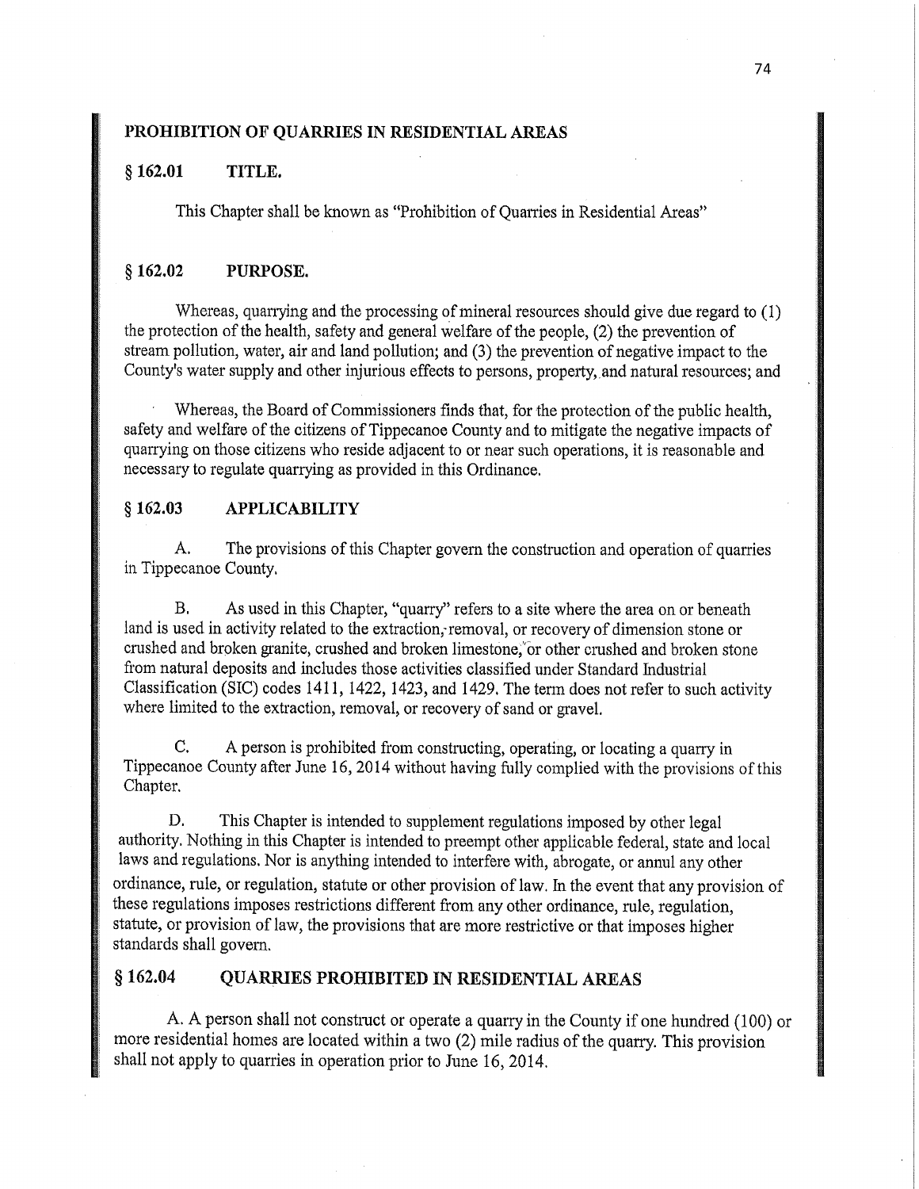## **PROHIBITION** 0F **QUARRIES** IN **RESIDENTIAL AREAS**

## § **162.01 TITLE.** *'*

**This** Chapter shall be known as "Prohibition of Quarries in Residential Areas"

# **§ 162.02** PURPOSE.

Whereas, quarrying and the **processing** of mineral resources should **give** due regard to (I) the protection of the **health,** safety and general welfare of the people, (2) the prevention of stream **pollution,** water, air and land pollution; and (3) the prevention of negative impact to the County's water supply and other injurious effects to persons, property, and natural resources; and

Whereas, the Board of Commissioners **finds** that, for the **protection** of the public **health,**  safety and welfare of the **citizens** of Tippecanoe County and to mitigate the negative **impacts** of quarrying on those citizens who reside adjacent to or near **such** operations, it is reasonable and necessary to regulate quarrying as provided in **this** Ordinance.

# § **162.03 APPLICABILITY**

A. The **provisions** of this Chapter govern the **construction** and operation of quarries in **Tippecanoe** County.

B. As used in **this** Chapter, "quarry" refers to a site where the area on or beneath land is used in activity related to the extraction; removal, or recovery of dimension **stone** or crushed and broken granite, crushed and broken limestone, or other crushed and broken stone from natural deposits and **includes** those activities classified under Standard Industrial Classification (SIC) codes 1411, 1422, 1423, and **1429.** The **term** does not refer to **such** activity where limited to the extraction, removal, or recovery of sand or gravel.

C. A person is **prohibited** from **constructing, operating,** or **locating** <sup>a</sup>quarry in Tippecanoe County after June 16, 2014 without having fully **complied with** the provisions of **this**  Chapter.

D. This Chapter is intended to supplement regulations imposed by other legal **authority. Nothing** in **this** Chapter is **intended** to preempt **other** applicable federal, state and local laws and regulations. Nor is anything **intended** to interfere with, abrogate, or annul any **other**  ordinance, rule, or regulation, statute or other provision of **law.** In the event that any provision of **these** regulations imposes **restrictions** different from any other ordinance, rule, regulation, statute, or provision of law, the provisions **that** are more restrictive or that imposes **higher** standards shall govern.

# **§ 162.04 QUARRIES PROHIBITED** IN **RESIDENTIAL AREAS**

A. A person shall not construct or operate a quarry in the County if one hundred (100) or more residential homes are located within a two (2) mile radius of the quarry. **This** provision shall not apply to quarries in operation prior to June 16, 2014.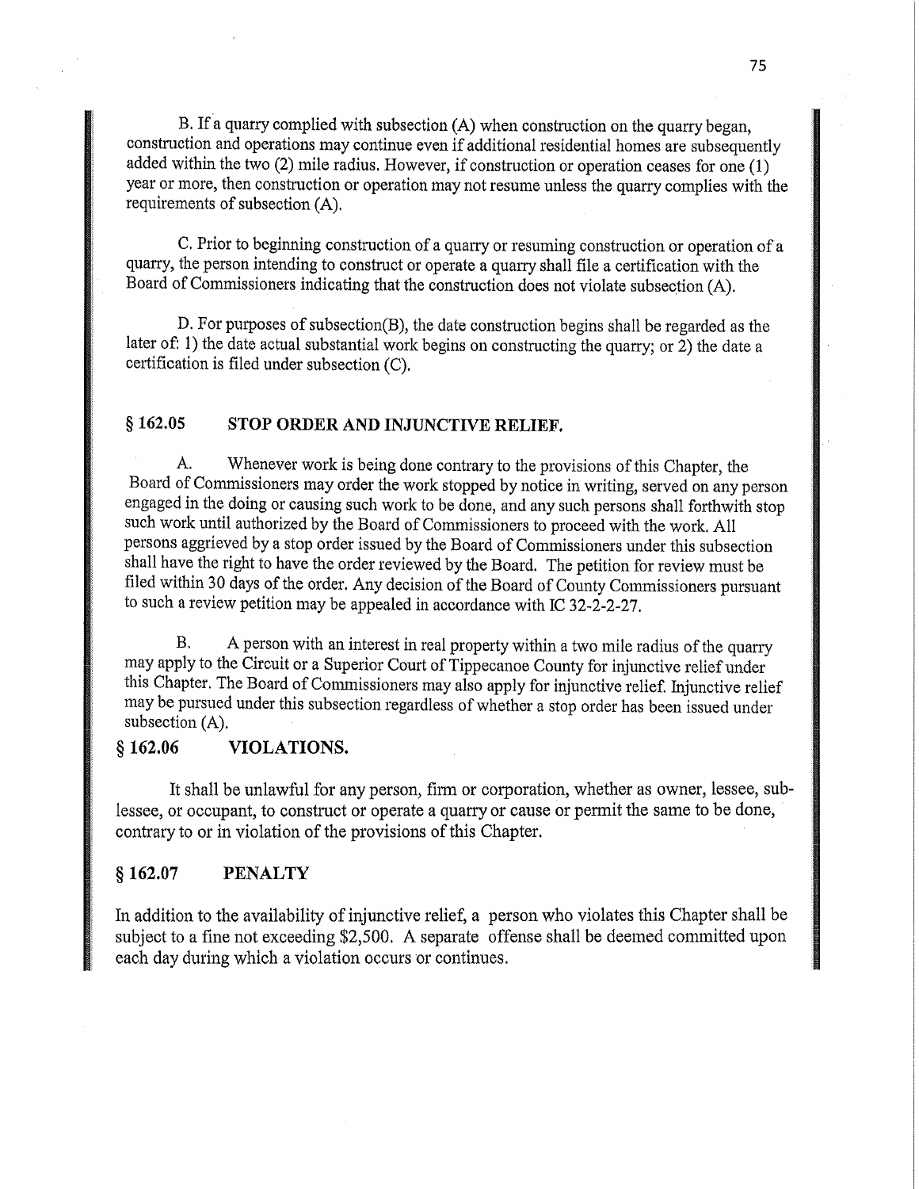B. If a quarry complied with subsection (A) when construction on the quarry began, construction and operations may continue even if additional residential homes are subsequently added within the two (2) mile radius. However, if construction or operation ceases for one (1) year or more, **then** construction or operation may not resume unless the quarry **complies** with the requirements of subsection **(A).** 

C. Prior to beginning construction of <sup>a</sup>quarry or resuming **construction** or operation of <sup>a</sup> quarry, the person intending to **construct** or operate **<sup>a</sup>**quarry shall file a **certification** with the Board of Commissioners **indicating** that the construction does not violate subsection (A).

D. For purposes of subsection(B), the date construction begins shall be regarded as the later of: 1) the date actual substantial work begins on **constructing** the quarry; or 2) the date a certification is filed under **subsection** (C).

# § **162.05 STOP** ORDER AND **INJUNCTIVE RELIEF.**

A. Whenever work is being done contrary to the provisions of this Chapter, the Board of Commissioners may order the work stopped by **notice** in **writing,** served on any person engaged in the doing or causing **such** work to be done, and any **such** persons **shall forthwith** stop such work until authorized by the Board of Commissioners to proceed **with** the work. All persons aggrieved by a stop order issued by the Board of **Commissioners** under **this subsection shall** have the **right** to have the order reviewed by the Board. The petition for review must be filed **within** 30 days of the order. Any decision of the Board of County Commissioners pursuant to such a review **petition** may be appealed in accordance with IC 32-2-2-27.

B. A person with an interest in real property within **a** two mile radius of the quarry may apply to the Circuit or a Superior Court of Tippecanoe County for injunctive relief under this Chapter. The Board of Commissioners may also apply for **injunctive** relief. Injunctive relief may be pursued under **this** subsection regardless of whether a stop order has been issued under subsection **(A).** 

# **§ 162.06 VIOLATIONS.**

It shall be unlawful for any person, firm or **corporation,** whether as **owner,** lessee, sublessee, or occupant, to **construct** or operate a quarry or cause or **permit** the same to be done, contrary to or in Violation of the provisions of this Chapter.

### **§ 162.07 PENALTY**

In addition to the availability of injunctive relief, a person who **violates this** Chapter shall be subject to a fine not exceeding \$2, **500.** A separate offense **shall** be deemed committed upon each day during which **a** violation **occurs** or continues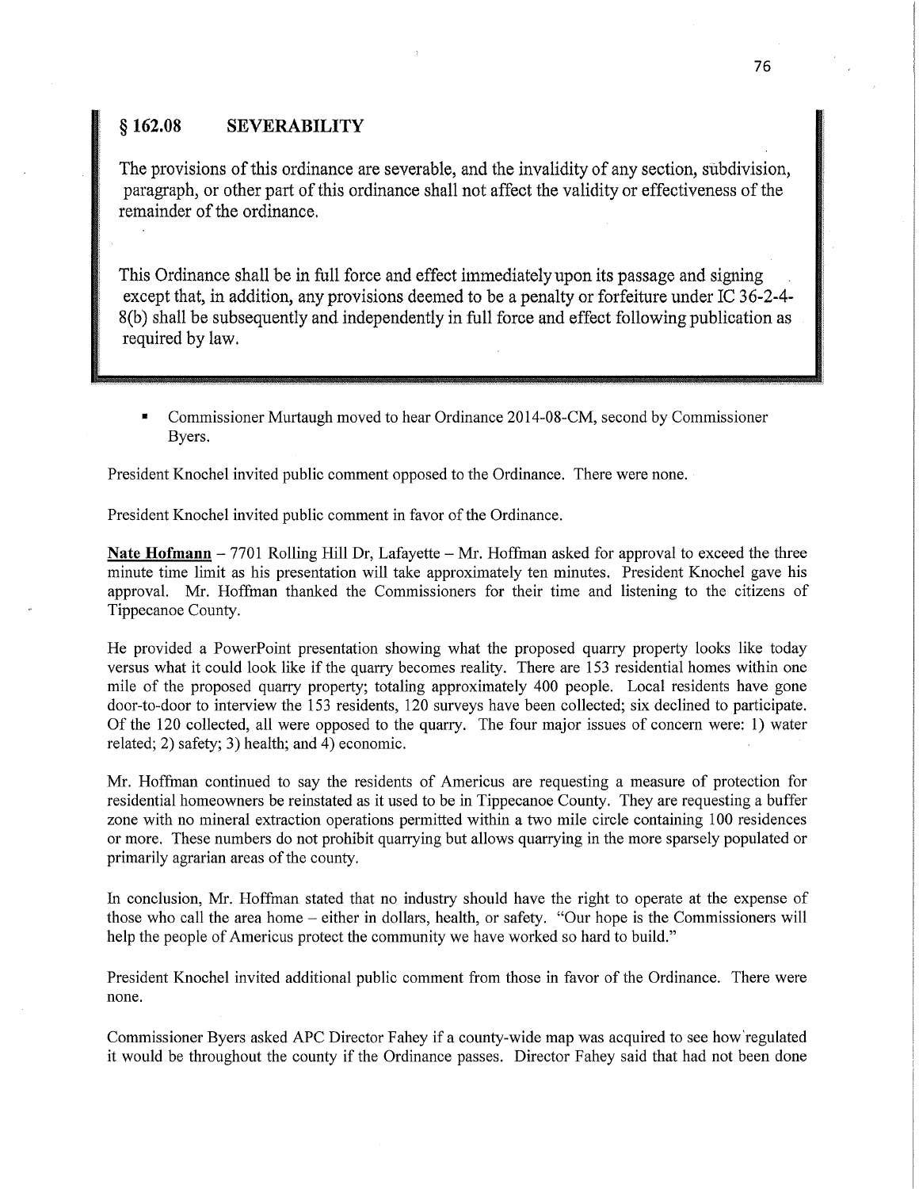# **§ 162.08 SEVERABILITY**

The provisions of this ordinance are severable, and the invalidity of any section, subdivision, paragraph, or other part of **this** ordinance shall not affect the validity or effectiveness of the remainder of the ordinance.

**This** Ordinance shall be in full force and effect immediately upon its passage and signing except that, in addition, any provisions deemed to be a penalty or forfeiture under IC 36-2-4-8(b) **shall** be subsequently and independently in full force and effect following publication as required bylaw.

**ICOMMISSIONER Murtaugh moved to hear Ordinance 2014-08-CM, second by Commissioner** Byers.

President Knochel invited public comment opposed to the Ordinance. There were none. ~

President Knochel invited public comment in favor of the Ordinance.

**Nate Hofmann – 7701 Rolling Hill Dr, Lafayette – Mr. Hoffman asked for approval to exceed the three** minute time limit as his presentation will take approximately ten minutes. President Knochel gave his approval. Mr. Hoffman thanked the Commissioners for their time and listening to the citizens of Tippecanoe County.

He provided a PowerPoint presentation showing what the proposed quarry property looks like today versus what it could look like if the quarry becomes reality. There are 153 residential homes within one mile of the proposed quarry property; totaling approximately 400 people. Local residents have gone door-to- door to interview the 153 residents, 120 surveys have been collected; six declined to participate. Of the 120 collected, all were opposed to the quarry. The four major issues of concern were: 1) water related; 2) safety; 3) health; and 4) economic.

Mr. Hoffman continued to say the residents of Americus are requesting <sup>a</sup>measure of protection for residential homeowners be reinstated as it used to be in Tippecanoe County. They are requesting a buffer zone with no mineral extraction operations permitted within a two mile circle containing 100 residences or more. These numbers do not prohibit quarrying but allows quarrying in the more sparsely populated or primarily agrarian areas of the county.

In conclusion, Mr. Hoffman stated that no industry should have the right to operate at the expense of those who call the area home *—* either in dollars, health, or safety. "Our hope is the Commissioners will help the people of Americus protect the community we have worked so hard to build."

President Knochel invited additional public comment from those in favor of the Ordinance. There were none.

Commissioner Byers asked APC Director Fahey if a county-Wide map was acquired to see how'regulated it would be throughout the county if the Ordinance passes. Director Fahey said that had not been done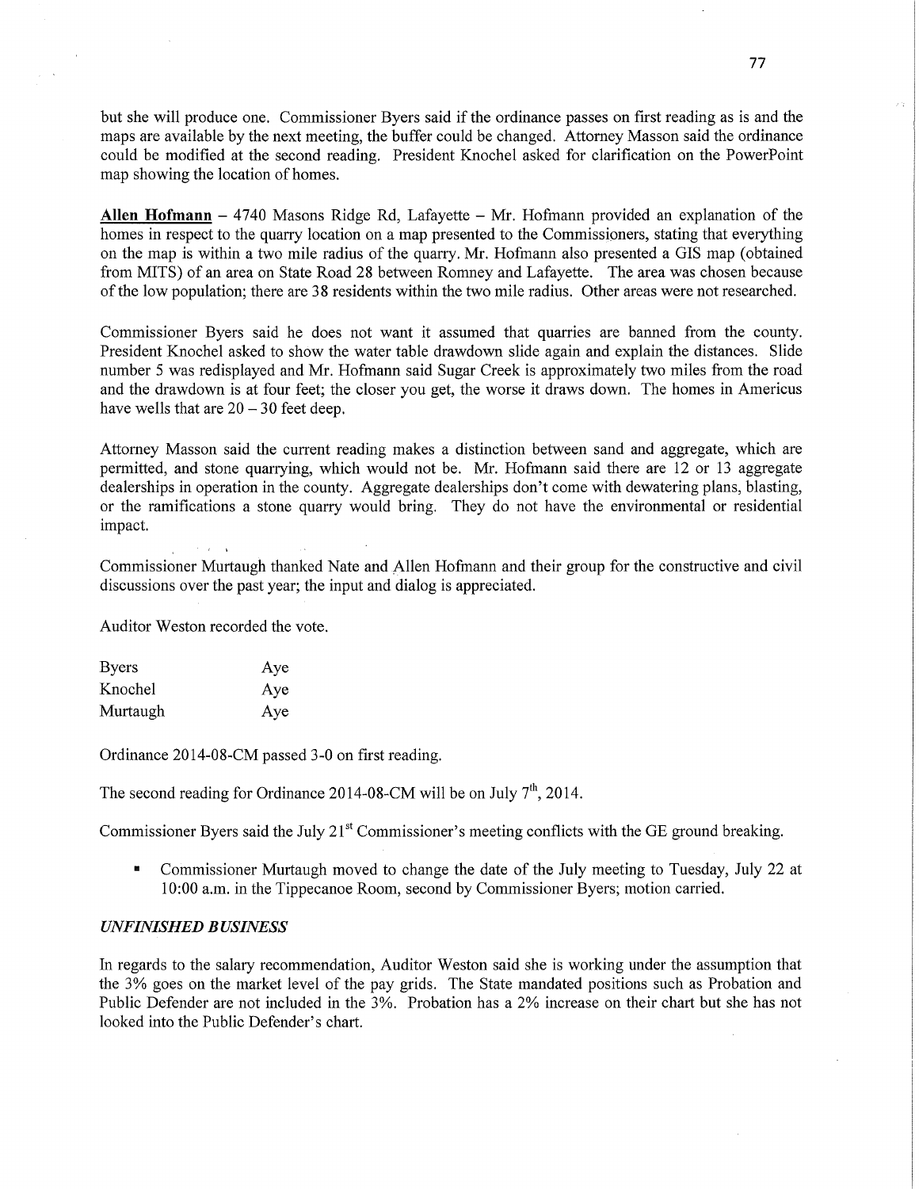but she will produce one. Commissioner Byers said if the ordinance passes on first reading as is and the maps are available by the next meeting, the buffer could be changed. Attorney Masson said the ordinance could be modified at the second reading. President Knochel asked for clarification on the PowerPoint map showing the location of homes.

Allen **Hofmann —** 4740 Masons Ridge Rd, Lafayette **—** Mr. Hofmann provided an explanation of the homes in respect to the quarry location on a map presented to the Commissioners, stating that everything on the map is within a two mile radius of the quarry. Mr. Hofmann also presented a GIS map (obtained from MITS) of an area on State Road 28 between Romney and Lafayette. The area was chosen because of the low population; there are 3 8 residents within the two mile radius. Other areas were not researched.

Commissioner Byers said he does not want it assumed that quarries are banned from the county. President Knochel asked to show the water table drawdown slide again and explain the distances. Slide number 5 was redisplayed and Mr. Hofmann said Sugar Creek is approximately two miles from the road and the drawdown is at four feet; the closer you get, the worse it draws down. The homes in Americus have wells that are  $20 - 30$  feet deep.

Attorney Masson said the current reading makes a distinction between sand and aggregate, which are permitted, and stone quarrying, which would not be. Mr. Hofmann said there are 12 or 13 aggregate dealerships in operation in the county. Aggregate dealerships don't come with dewatering plans, blasting, or the ramifications a stone quarry would bring. They do not have the environmental or residential impact.

Commissioner Murtaugh thanked Nate and Allen Hofmann and their group for the constructive and civil discussions over the past year; the input and dialog is appreciated.

Auditor Weston recorded the vote.

 $\epsilon = \rho = -\frac{1}{2}$ 

| <b>Byers</b> | Aye |
|--------------|-----|
| Knochel      | Aye |
| Murtaugh     | Aye |

Ordinance 2014-08-CM passed 3-0 on first reading.

The second reading for Ordinance 2014-08-CM will be on July  $7<sup>th</sup>$ , 2014.

Commissioner Byers said the July  $21<sup>st</sup>$  Commissioner's meeting conflicts with the GE ground breaking.

**I** Commissioner Murtaugh moved to change the date of the July meeting to Tuesday, July 22 at 10:00 am. in the Tippecanoe Room, second by Commissioner Byers; motion carried.

#### *UNFINISHED B USINESS*

In regards to the salary recommendation, Auditor Weston said she is working under the assumption **that**  the 3% goes on the market level of the pay grids. The State mandated positions such as Probation and Public Defender are not included in the 3%. Probation has a 2% increase on their chart but she has not looked **into** the Public Defender's chart.